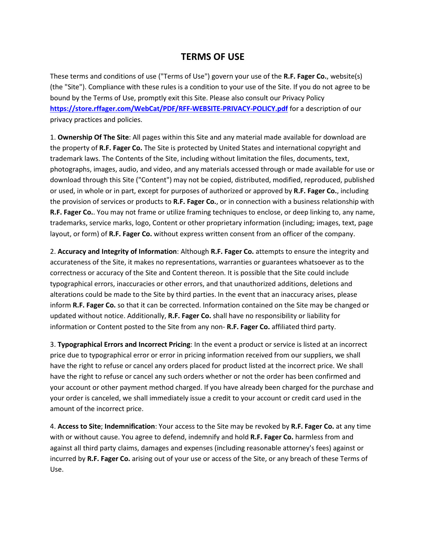## **TERMS OF USE**

These terms and conditions of use ("Terms of Use") govern your use of the **R.F. Fager Co.**, website(s) (the "Site"). Compliance with these rules is a condition to your use of the Site. If you do not agree to be bound by the Terms of Use, promptly exit this Site. Please also consult our Privacy Policy **<https://store.rffager.com/WebCat/PDF/RFF-WEBSITE-PRIVACY-POLICY.pdf>** for a description of our privacy practices and policies.

1. **Ownership Of The Site**: All pages within this Site and any material made available for download are the property of **R.F. Fager Co.** The Site is protected by United States and international copyright and trademark laws. The Contents of the Site, including without limitation the files, documents, text, photographs, images, audio, and video, and any materials accessed through or made available for use or download through this Site ("Content") may not be copied, distributed, modified, reproduced, published or used, in whole or in part, except for purposes of authorized or approved by **R.F. Fager Co.**, including the provision of services or products to **R.F. Fager Co.**, or in connection with a business relationship with **R.F. Fager Co.**. You may not frame or utilize framing techniques to enclose, or deep linking to, any name, trademarks, service marks, logo, Content or other proprietary information (including; images, text, page layout, or form) of **R.F. Fager Co.** without express written consent from an officer of the company.

2. **Accuracy and Integrity of Information**: Although **R.F. Fager Co.** attempts to ensure the integrity and accurateness of the Site, it makes no representations, warranties or guarantees whatsoever as to the correctness or accuracy of the Site and Content thereon. It is possible that the Site could include typographical errors, inaccuracies or other errors, and that unauthorized additions, deletions and alterations could be made to the Site by third parties. In the event that an inaccuracy arises, please inform **R.F. Fager Co.** so that it can be corrected. Information contained on the Site may be changed or updated without notice. Additionally, **R.F. Fager Co.** shall have no responsibility or liability for information or Content posted to the Site from any non- **R.F. Fager Co.** affiliated third party.

3. **Typographical Errors and Incorrect Pricing**: In the event a product or service is listed at an incorrect price due to typographical error or error in pricing information received from our suppliers, we shall have the right to refuse or cancel any orders placed for product listed at the incorrect price. We shall have the right to refuse or cancel any such orders whether or not the order has been confirmed and your account or other payment method charged. If you have already been charged for the purchase and your order is canceled, we shall immediately issue a credit to your account or credit card used in the amount of the incorrect price.

4. **Access to Site**; **Indemnification**: Your access to the Site may be revoked by **R.F. Fager Co.** at any time with or without cause. You agree to defend, indemnify and hold **R.F. Fager Co.** harmless from and against all third party claims, damages and expenses (including reasonable attorney's fees) against or incurred by **R.F. Fager Co.** arising out of your use or access of the Site, or any breach of these Terms of Use.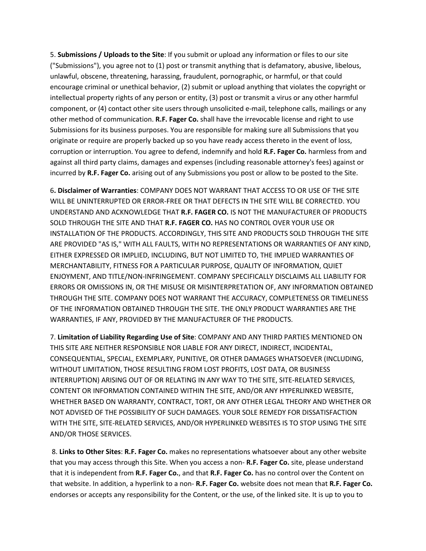5. **Submissions / Uploads to the Site**: If you submit or upload any information or files to our site ("Submissions"), you agree not to (1) post or transmit anything that is defamatory, abusive, libelous, unlawful, obscene, threatening, harassing, fraudulent, pornographic, or harmful, or that could encourage criminal or unethical behavior, (2) submit or upload anything that violates the copyright or intellectual property rights of any person or entity, (3) post or transmit a virus or any other harmful component, or (4) contact other site users through unsolicited e-mail, telephone calls, mailings or any other method of communication. **R.F. Fager Co.** shall have the irrevocable license and right to use Submissions for its business purposes. You are responsible for making sure all Submissions that you originate or require are properly backed up so you have ready access thereto in the event of loss, corruption or interruption. You agree to defend, indemnify and hold **R.F. Fager Co.** harmless from and against all third party claims, damages and expenses (including reasonable attorney's fees) against or incurred by **R.F. Fager Co.** arising out of any Submissions you post or allow to be posted to the Site.

6**. Disclaimer of Warranties**: COMPANY DOES NOT WARRANT THAT ACCESS TO OR USE OF THE SITE WILL BE UNINTERRUPTED OR ERROR-FREE OR THAT DEFECTS IN THE SITE WILL BE CORRECTED. YOU UNDERSTAND AND ACKNOWLEDGE THAT **R.F. FAGER CO.** IS NOT THE MANUFACTURER OF PRODUCTS SOLD THROUGH THE SITE AND THAT **R.F. FAGER CO.** HAS NO CONTROL OVER YOUR USE OR INSTALLATION OF THE PRODUCTS. ACCORDINGLY, THIS SITE AND PRODUCTS SOLD THROUGH THE SITE ARE PROVIDED "AS IS," WITH ALL FAULTS, WITH NO REPRESENTATIONS OR WARRANTIES OF ANY KIND, EITHER EXPRESSED OR IMPLIED, INCLUDING, BUT NOT LIMITED TO, THE IMPLIED WARRANTIES OF MERCHANTABILITY, FITNESS FOR A PARTICULAR PURPOSE, QUALITY OF INFORMATION, QUIET ENJOYMENT, AND TITLE/NON-INFRINGEMENT. COMPANY SPECIFICALLY DISCLAIMS ALL LIABILITY FOR ERRORS OR OMISSIONS IN, OR THE MISUSE OR MISINTERPRETATION OF, ANY INFORMATION OBTAINED THROUGH THE SITE. COMPANY DOES NOT WARRANT THE ACCURACY, COMPLETENESS OR TIMELINESS OF THE INFORMATION OBTAINED THROUGH THE SITE. THE ONLY PRODUCT WARRANTIES ARE THE WARRANTIES, IF ANY, PROVIDED BY THE MANUFACTURER OF THE PRODUCTS.

7. **Limitation of Liability Regarding Use of Site**: COMPANY AND ANY THIRD PARTIES MENTIONED ON THIS SITE ARE NEITHER RESPONSIBLE NOR LIABLE FOR ANY DIRECT, INDIRECT, INCIDENTAL, CONSEQUENTIAL, SPECIAL, EXEMPLARY, PUNITIVE, OR OTHER DAMAGES WHATSOEVER (INCLUDING, WITHOUT LIMITATION, THOSE RESULTING FROM LOST PROFITS, LOST DATA, OR BUSINESS INTERRUPTION) ARISING OUT OF OR RELATING IN ANY WAY TO THE SITE, SITE-RELATED SERVICES, CONTENT OR INFORMATION CONTAINED WITHIN THE SITE, AND/OR ANY HYPERLINKED WEBSITE, WHETHER BASED ON WARRANTY, CONTRACT, TORT, OR ANY OTHER LEGAL THEORY AND WHETHER OR NOT ADVISED OF THE POSSIBILITY OF SUCH DAMAGES. YOUR SOLE REMEDY FOR DISSATISFACTION WITH THE SITE, SITE-RELATED SERVICES, AND/OR HYPERLINKED WEBSITES IS TO STOP USING THE SITE AND/OR THOSE SERVICES.

8. **Links to Other Sites**: **R.F. Fager Co.** makes no representations whatsoever about any other website that you may access through this Site. When you access a non- **R.F. Fager Co.** site, please understand that it is independent from **R.F. Fager Co.**, and that **R.F. Fager Co.** has no control over the Content on that website. In addition, a hyperlink to a non- **R.F. Fager Co.** website does not mean that **R.F. Fager Co.** endorses or accepts any responsibility for the Content, or the use, of the linked site. It is up to you to